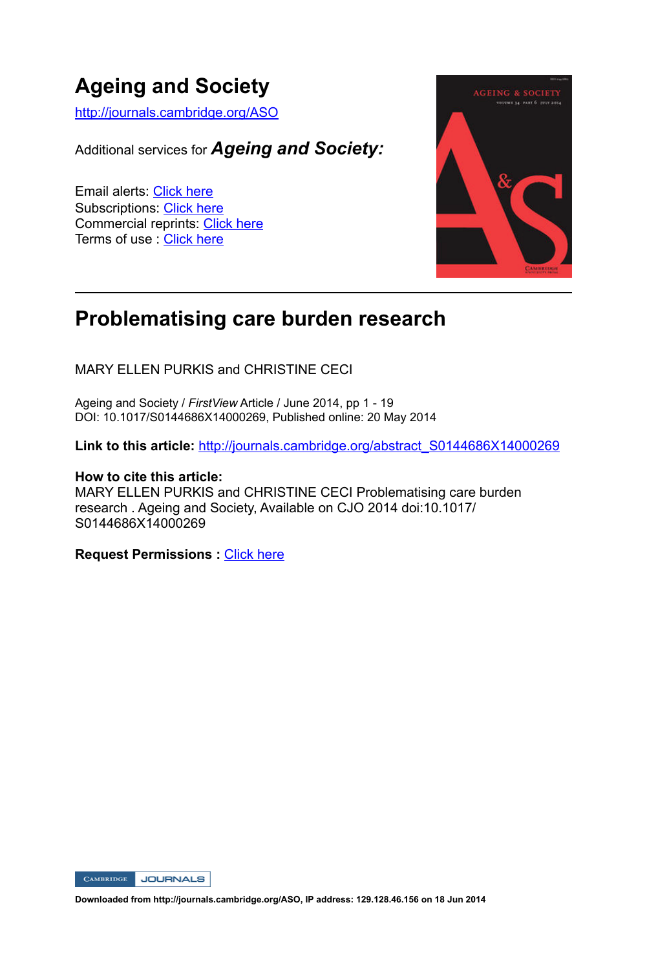# **Ageing and Society**

http://journals.cambridge.org/ASO

Additional services for *Ageing and Society:*

Email alerts: Click here Subscriptions: Click here Commercial reprints: Click here Terms of use : Click here



## **Problematising care burden research**

MARY ELLEN PURKIS and CHRISTINE CECI

Ageing and Society / *FirstView* Article / June 2014, pp 1 - 19 DOI: 10.1017/S0144686X14000269, Published online: 20 May 2014

Link to this article: http://journals.cambridge.org/abstract\_S0144686X14000269

### **How to cite this article:**

MARY ELLEN PURKIS and CHRISTINE CECI Problematising care burden research . Ageing and Society, Available on CJO 2014 doi:10.1017/ S0144686X14000269

**Request Permissions :** Click here

CAMBRIDGE JOURNALS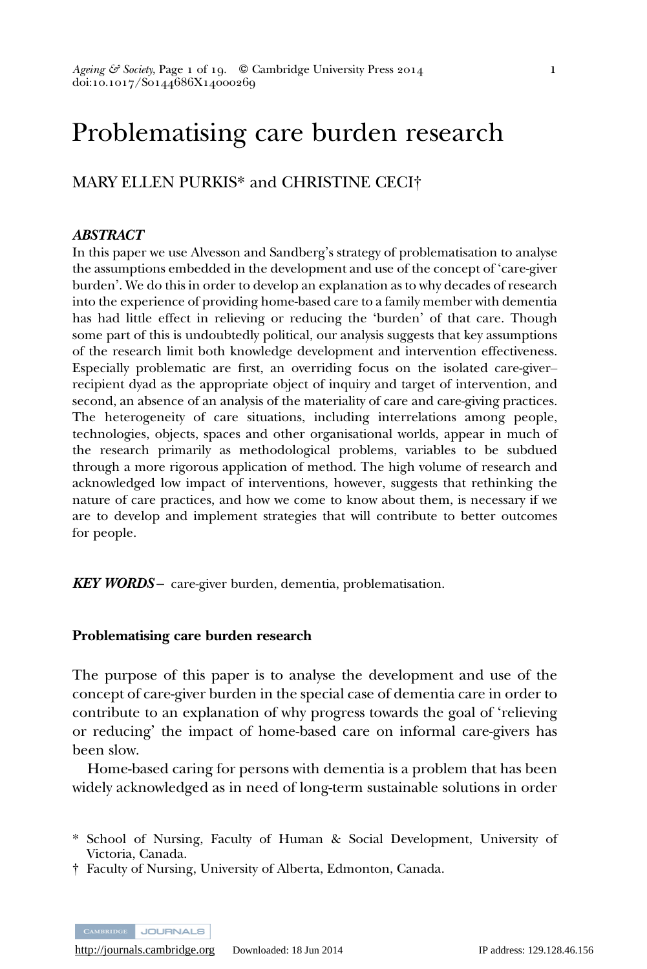## Problematising care burden research

MARY ELLEN PURKIS\* and CHRISTINE CECI†

#### ABSTRACT

In this paper we use Alvesson and Sandberg's strategy of problematisation to analyse the assumptions embedded in the development and use of the concept of 'care-giver burden'. We do this in order to develop an explanation as to why decades of research into the experience of providing home-based care to a family member with dementia has had little effect in relieving or reducing the 'burden' of that care. Though some part of this is undoubtedly political, our analysis suggests that key assumptions of the research limit both knowledge development and intervention effectiveness. Especially problematic are first, an overriding focus on the isolated care-giver– recipient dyad as the appropriate object of inquiry and target of intervention, and second, an absence of an analysis of the materiality of care and care-giving practices. The heterogeneity of care situations, including interrelations among people, technologies, objects, spaces and other organisational worlds, appear in much of the research primarily as methodological problems, variables to be subdued through a more rigorous application of method. The high volume of research and acknowledged low impact of interventions, however, suggests that rethinking the nature of care practices, and how we come to know about them, is necessary if we are to develop and implement strategies that will contribute to better outcomes for people.

**KEY WORDS** – care-giver burden, dementia, problematisation.

#### Problematising care burden research

The purpose of this paper is to analyse the development and use of the concept of care-giver burden in the special case of dementia care in order to contribute to an explanation of why progress towards the goal of 'relieving or reducing' the impact of home-based care on informal care-givers has been slow.

Home-based caring for persons with dementia is a problem that has been widely acknowledged as in need of long-term sustainable solutions in order

† Faculty of Nursing, University of Alberta, Edmonton, Canada.

**JOURNALS** 

<sup>\*</sup> School of Nursing, Faculty of Human & Social Development, University of Victoria, Canada.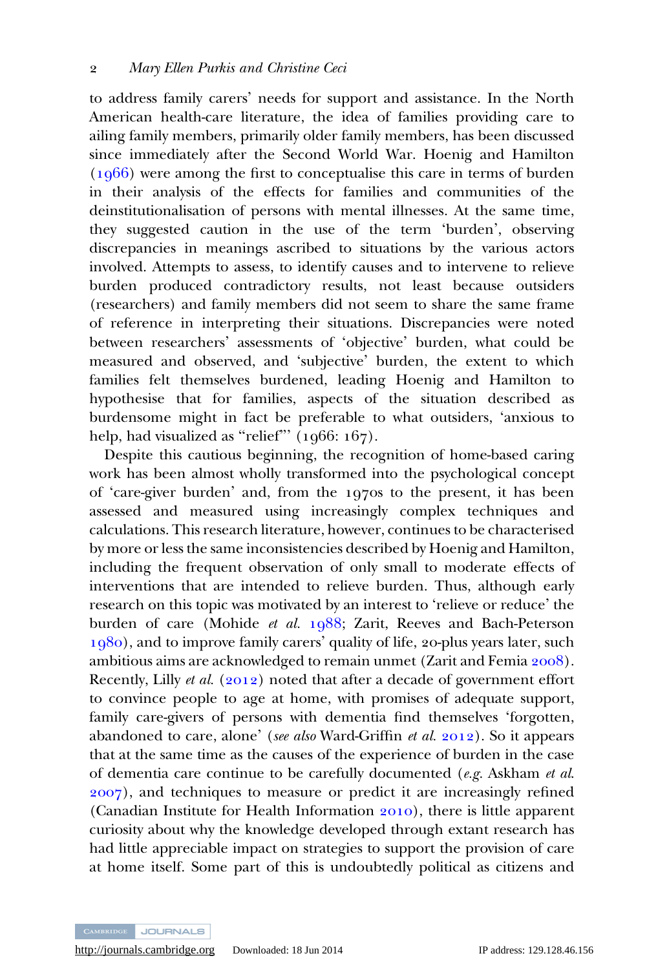to address family carers' needs for support and assistance. In the North American health-care literature, the idea of families providing care to ailing family members, primarily older family members, has been discussed since immediately after the Second World War. Hoenig and Hamilton  $(1066)$  were among the first to conceptualise this care in terms of burden in their analysis of the effects for families and communities of the deinstitutionalisation of persons with mental illnesses. At the same time, they suggested caution in the use of the term 'burden', observing discrepancies in meanings ascribed to situations by the various actors involved. Attempts to assess, to identify causes and to intervene to relieve burden produced contradictory results, not least because outsiders (researchers) and family members did not seem to share the same frame of reference in interpreting their situations. Discrepancies were noted between researchers' assessments of 'objective' burden, what could be measured and observed, and 'subjective' burden, the extent to which families felt themselves burdened, leading Hoenig and Hamilton to hypothesise that for families, aspects of the situation described as burdensome might in fact be preferable to what outsiders, 'anxious to help, had visualized as "relief"'  $(1066: 167)$ .

Despite this cautious beginning, the recognition of home-based caring work has been almost wholly transformed into the psychological concept of 'care-giver burden' and, from the 1970s to the present, it has been assessed and measured using increasingly complex techniques and calculations. This research literature, however, continues to be characterised by more or less the same inconsistencies described by Hoenig and Hamilton, including the frequent observation of only small to moderate effects of interventions that are intended to relieve burden. Thus, although early research on this topic was motivated by an interest to 'relieve or reduce' the burden of care (Mohide et al.  $1988$ ; Zarit, Reeves and Bach-Peterson  $1980$ ), and to improve family carers' quality of life, 20-plus years later, such ambitious aims are acknowledged to remain unmet (Zarit and Femia 2008). Recently, Lilly et al.  $(2012)$  noted that after a decade of government effort to convince people to age at home, with promises of adequate support, family care-givers of persons with dementia find themselves 'forgotten, abandoned to care, alone' (see also Ward-Griffin et al.  $2012$ ). So it appears that at the same time as the causes of the experience of burden in the case of dementia care continue to be carefully documented  $(e.g.$  Askham *et al.* ), and techniques to measure or predict it are increasingly refined (Canadian Institute for Health Information  $2010$ ), there is little apparent curiosity about why the knowledge developed through extant research has had little appreciable impact on strategies to support the provision of care at home itself. Some part of this is undoubtedly political as citizens and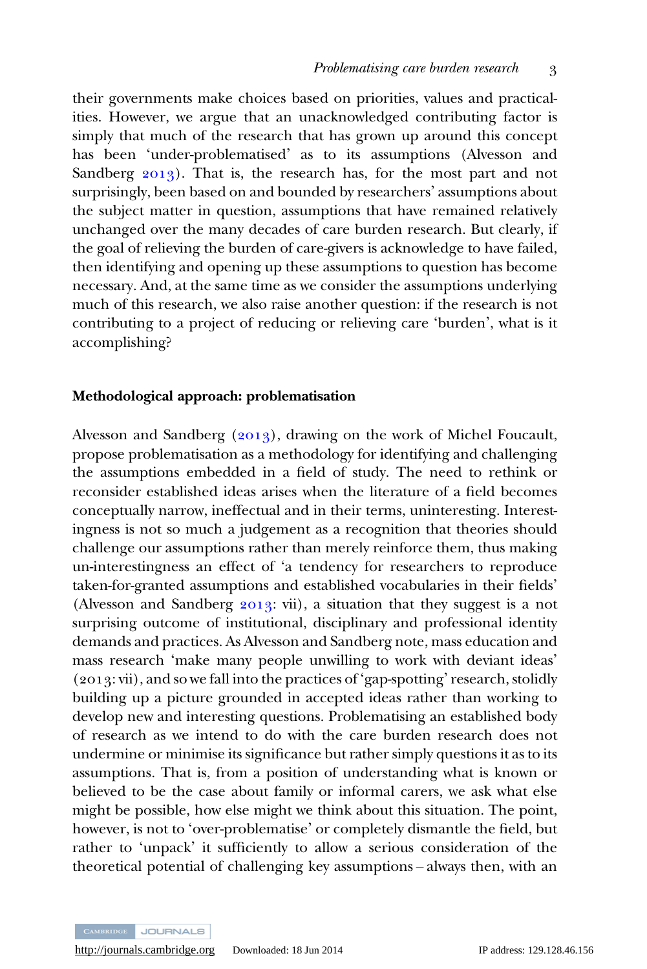their governments make choices based on priorities, values and practicalities. However, we argue that an unacknowledged contributing factor is simply that much of the research that has grown up around this concept has been 'under-problematised' as to its assumptions (Alvesson and Sandberg  $2013$ ). That is, the research has, for the most part and not surprisingly, been based on and bounded by researchers' assumptions about the subject matter in question, assumptions that have remained relatively unchanged over the many decades of care burden research. But clearly, if the goal of relieving the burden of care-givers is acknowledge to have failed, then identifying and opening up these assumptions to question has become necessary. And, at the same time as we consider the assumptions underlying much of this research, we also raise another question: if the research is not contributing to a project of reducing or relieving care 'burden', what is it accomplishing?

#### Methodological approach: problematisation

Alvesson and Sandberg  $(2013)$ , drawing on the work of Michel Foucault, propose problematisation as a methodology for identifying and challenging the assumptions embedded in a field of study. The need to rethink or reconsider established ideas arises when the literature of a field becomes conceptually narrow, ineffectual and in their terms, uninteresting. Interestingness is not so much a judgement as a recognition that theories should challenge our assumptions rather than merely reinforce them, thus making un-interestingness an effect of 'a tendency for researchers to reproduce taken-for-granted assumptions and established vocabularies in their fields' (Alvesson and Sandberg  $2013$ : vii), a situation that they suggest is a not surprising outcome of institutional, disciplinary and professional identity demands and practices. As Alvesson and Sandberg note, mass education and mass research 'make many people unwilling to work with deviant ideas'  $(2013; vii)$ , and so we fall into the practices of 'gap-spotting' research, stolidly building up a picture grounded in accepted ideas rather than working to develop new and interesting questions. Problematising an established body of research as we intend to do with the care burden research does not undermine or minimise its significance but rather simply questions it as to its assumptions. That is, from a position of understanding what is known or believed to be the case about family or informal carers, we ask what else might be possible, how else might we think about this situation. The point, however, is not to 'over-problematise' or completely dismantle the field, but rather to 'unpack' it sufficiently to allow a serious consideration of the theoretical potential of challenging key assumptions – always then, with an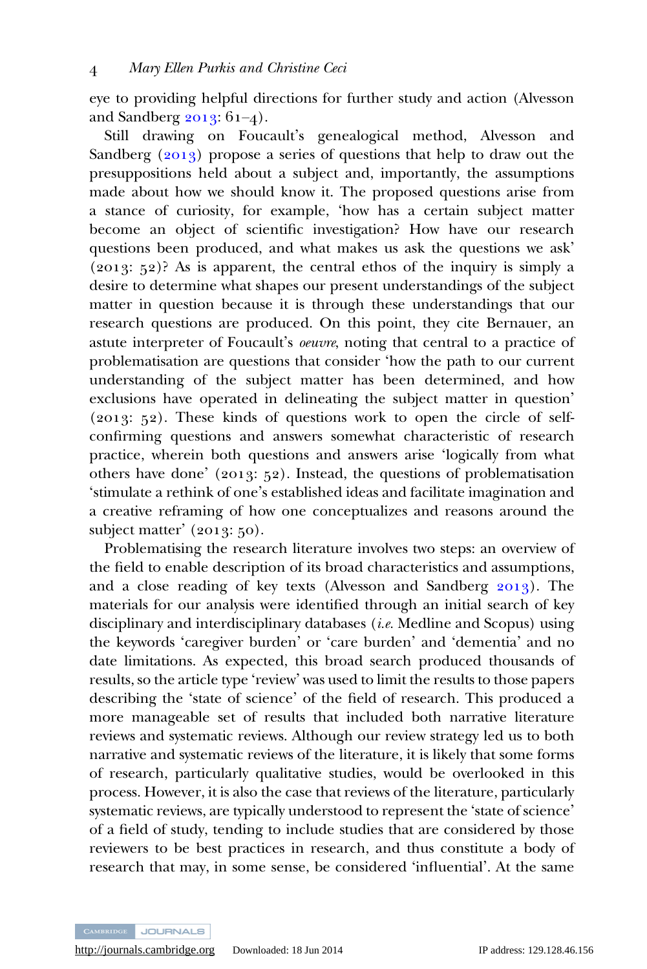eye to providing helpful directions for further study and action (Alvesson and Sandberg  $2013$ :  $61-4$ ).

Still drawing on Foucault's genealogical method, Alvesson and Sandberg  $(2013)$  propose a series of questions that help to draw out the presuppositions held about a subject and, importantly, the assumptions made about how we should know it. The proposed questions arise from a stance of curiosity, for example, 'how has a certain subject matter become an object of scientific investigation? How have our research questions been produced, and what makes us ask the questions we ask'  $(2013; 52)$ ? As is apparent, the central ethos of the inquiry is simply a desire to determine what shapes our present understandings of the subject matter in question because it is through these understandings that our research questions are produced. On this point, they cite Bernauer, an astute interpreter of Foucault's oeuvre, noting that central to a practice of problematisation are questions that consider 'how the path to our current understanding of the subject matter has been determined, and how exclusions have operated in delineating the subject matter in question'  $(2013; 52)$ . These kinds of questions work to open the circle of selfconfirming questions and answers somewhat characteristic of research practice, wherein both questions and answers arise 'logically from what others have done' (2013: 52). Instead, the questions of problematisation 'stimulate a rethink of one's established ideas and facilitate imagination and a creative reframing of how one conceptualizes and reasons around the subject matter'  $(2013; 50)$ .

Problematising the research literature involves two steps: an overview of the field to enable description of its broad characteristics and assumptions, and a close reading of key texts (Alvesson and Sandberg  $2013$ ). The materials for our analysis were identified through an initial search of key disciplinary and interdisciplinary databases (*i.e.* Medline and Scopus) using the keywords 'caregiver burden' or 'care burden' and 'dementia' and no date limitations. As expected, this broad search produced thousands of results, so the article type 'review' was used to limit the results to those papers describing the 'state of science' of the field of research. This produced a more manageable set of results that included both narrative literature reviews and systematic reviews. Although our review strategy led us to both narrative and systematic reviews of the literature, it is likely that some forms of research, particularly qualitative studies, would be overlooked in this process. However, it is also the case that reviews of the literature, particularly systematic reviews, are typically understood to represent the 'state of science' of a field of study, tending to include studies that are considered by those reviewers to be best practices in research, and thus constitute a body of research that may, in some sense, be considered 'influential'. At the same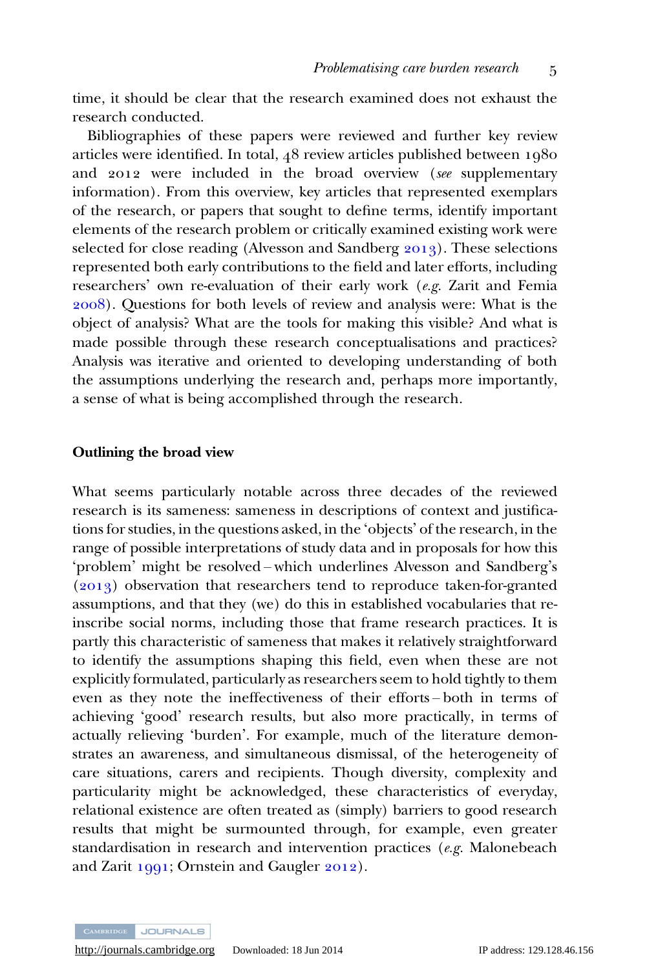time, it should be clear that the research examined does not exhaust the research conducted.

Bibliographies of these papers were reviewed and further key review articles were identified. In total,  $48$  review articles published between  $1980$ and 2012 were included in the broad overview (see supplementary information). From this overview, key articles that represented exemplars of the research, or papers that sought to define terms, identify important elements of the research problem or critically examined existing work were selected for close reading (Alvesson and Sandberg  $2013$ ). These selections represented both early contributions to the field and later efforts, including researchers' own re-evaluation of their early work (e.g. Zarit and Femia ). Questions for both levels of review and analysis were: What is the object of analysis? What are the tools for making this visible? And what is made possible through these research conceptualisations and practices? Analysis was iterative and oriented to developing understanding of both the assumptions underlying the research and, perhaps more importantly, a sense of what is being accomplished through the research.

#### Outlining the broad view

What seems particularly notable across three decades of the reviewed research is its sameness: sameness in descriptions of context and justifications for studies, in the questions asked, in the 'objects' of the research, in the range of possible interpretations of study data and in proposals for how this 'problem' might be resolved – which underlines Alvesson and Sandberg's  $(2013)$  observation that researchers tend to reproduce taken-for-granted assumptions, and that they (we) do this in established vocabularies that reinscribe social norms, including those that frame research practices. It is partly this characteristic of sameness that makes it relatively straightforward to identify the assumptions shaping this field, even when these are not explicitly formulated, particularly as researchers seem to hold tightly to them even as they note the ineffectiveness of their efforts – both in terms of achieving 'good' research results, but also more practically, in terms of actually relieving 'burden'. For example, much of the literature demonstrates an awareness, and simultaneous dismissal, of the heterogeneity of care situations, carers and recipients. Though diversity, complexity and particularity might be acknowledged, these characteristics of everyday, relational existence are often treated as (simply) barriers to good research results that might be surmounted through, for example, even greater standardisation in research and intervention practices  $(e.g.$  Malonebeach and Zarit  $1991$ ; Ornstein and Gaugler  $2012$ ).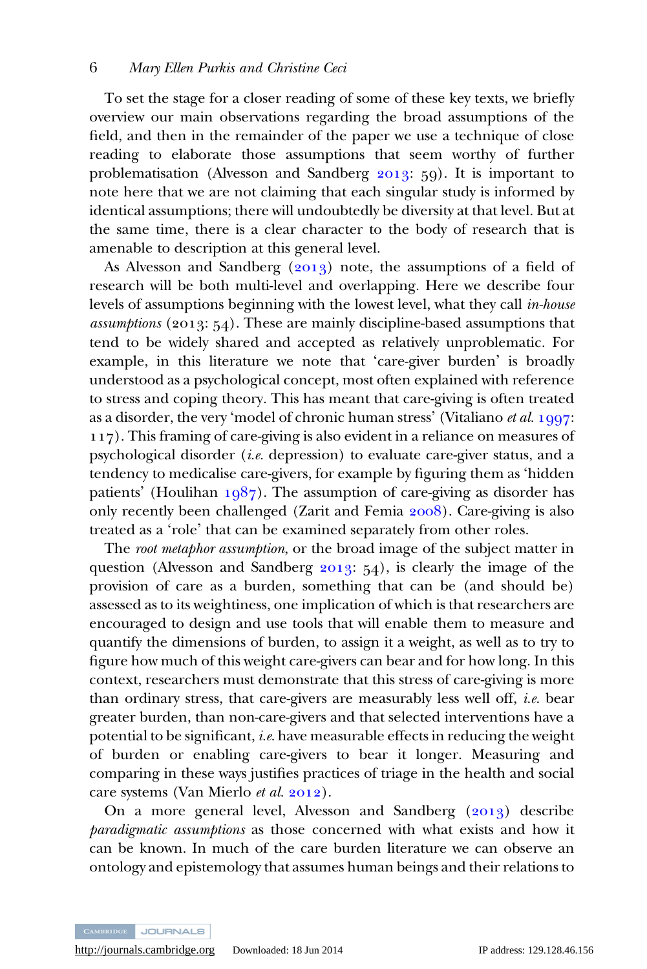To set the stage for a closer reading of some of these key texts, we briefly overview our main observations regarding the broad assumptions of the field, and then in the remainder of the paper we use a technique of close reading to elaborate those assumptions that seem worthy of further problematisation (Alvesson and Sandberg  $2013$ : 59). It is important to note here that we are not claiming that each singular study is informed by identical assumptions; there will undoubtedly be diversity at that level. But at the same time, there is a clear character to the body of research that is amenable to description at this general level.

As Alvesson and Sandberg  $(2013)$  note, the assumptions of a field of research will be both multi-level and overlapping. Here we describe four levels of assumptions beginning with the lowest level, what they call in-house assumptions (2013:  $54$ ). These are mainly discipline-based assumptions that tend to be widely shared and accepted as relatively unproblematic. For example, in this literature we note that 'care-giver burden' is broadly understood as a psychological concept, most often explained with reference to stress and coping theory. This has meant that care-giving is often treated as a disorder, the very 'model of chronic human stress' (Vitaliano *et al.*  $1997$ : ). This framing of care-giving is also evident in a reliance on measures of psychological disorder (*i.e.* depression) to evaluate care-giver status, and a tendency to medicalise care-givers, for example by figuring them as 'hidden patients' (Houlihan  $1087$ ). The assumption of care-giving as disorder has only recently been challenged (Zarit and Femia  $2008$ ). Care-giving is also treated as a 'role' that can be examined separately from other roles.

The root metaphor assumption, or the broad image of the subject matter in question (Alvesson and Sandberg  $2013$ ;  $54$ ), is clearly the image of the provision of care as a burden, something that can be (and should be) assessed as to its weightiness, one implication of which is that researchers are encouraged to design and use tools that will enable them to measure and quantify the dimensions of burden, to assign it a weight, as well as to try to figure how much of this weight care-givers can bear and for how long. In this context, researchers must demonstrate that this stress of care-giving is more than ordinary stress, that care-givers are measurably less well off, *i.e.* bear greater burden, than non-care-givers and that selected interventions have a potential to be significant, *i.e.* have measurable effects in reducing the weight of burden or enabling care-givers to bear it longer. Measuring and comparing in these ways justifies practices of triage in the health and social care systems (Van Mierlo et al. 2012).

On a more general level, Alvesson and Sandberg  $(2013)$  describe paradigmatic assumptions as those concerned with what exists and how it can be known. In much of the care burden literature we can observe an ontology and epistemology that assumes human beings and their relations to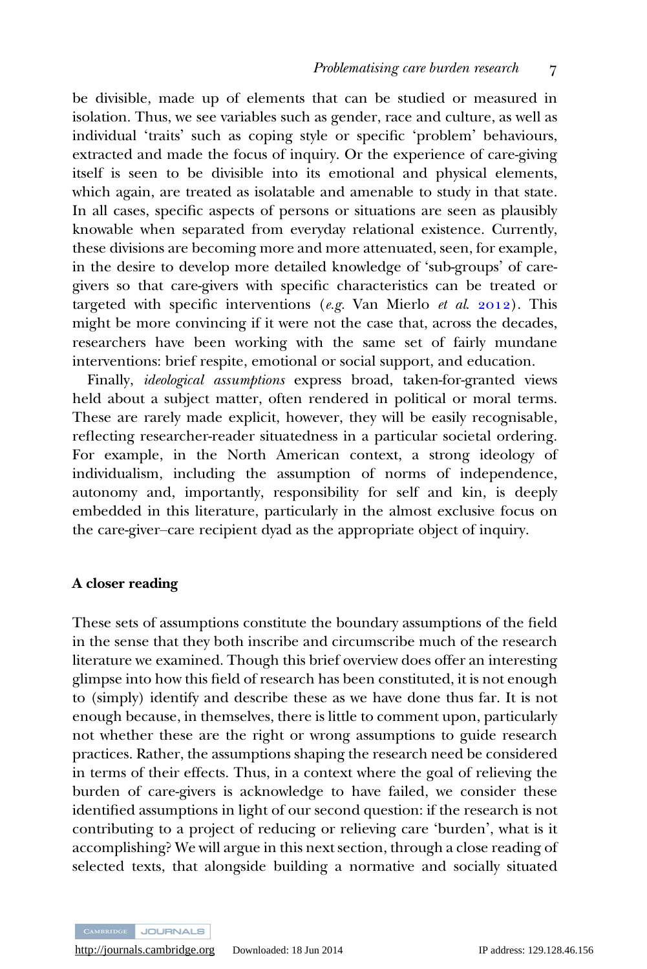be divisible, made up of elements that can be studied or measured in isolation. Thus, we see variables such as gender, race and culture, as well as individual 'traits' such as coping style or specific 'problem' behaviours, extracted and made the focus of inquiry. Or the experience of care-giving itself is seen to be divisible into its emotional and physical elements, which again, are treated as isolatable and amenable to study in that state. In all cases, specific aspects of persons or situations are seen as plausibly knowable when separated from everyday relational existence. Currently, these divisions are becoming more and more attenuated, seen, for example, in the desire to develop more detailed knowledge of 'sub-groups' of caregivers so that care-givers with specific characteristics can be treated or targeted with specific interventions (e.g. Van Mierlo et al.  $2012$ ). This might be more convincing if it were not the case that, across the decades, researchers have been working with the same set of fairly mundane interventions: brief respite, emotional or social support, and education.

Finally, ideological assumptions express broad, taken-for-granted views held about a subject matter, often rendered in political or moral terms. These are rarely made explicit, however, they will be easily recognisable, reflecting researcher-reader situatedness in a particular societal ordering. For example, in the North American context, a strong ideology of individualism, including the assumption of norms of independence, autonomy and, importantly, responsibility for self and kin, is deeply embedded in this literature, particularly in the almost exclusive focus on the care-giver–care recipient dyad as the appropriate object of inquiry.

#### A closer reading

These sets of assumptions constitute the boundary assumptions of the field in the sense that they both inscribe and circumscribe much of the research literature we examined. Though this brief overview does offer an interesting glimpse into how this field of research has been constituted, it is not enough to (simply) identify and describe these as we have done thus far. It is not enough because, in themselves, there is little to comment upon, particularly not whether these are the right or wrong assumptions to guide research practices. Rather, the assumptions shaping the research need be considered in terms of their effects. Thus, in a context where the goal of relieving the burden of care-givers is acknowledge to have failed, we consider these identified assumptions in light of our second question: if the research is not contributing to a project of reducing or relieving care 'burden', what is it accomplishing? We will argue in this next section, through a close reading of selected texts, that alongside building a normative and socially situated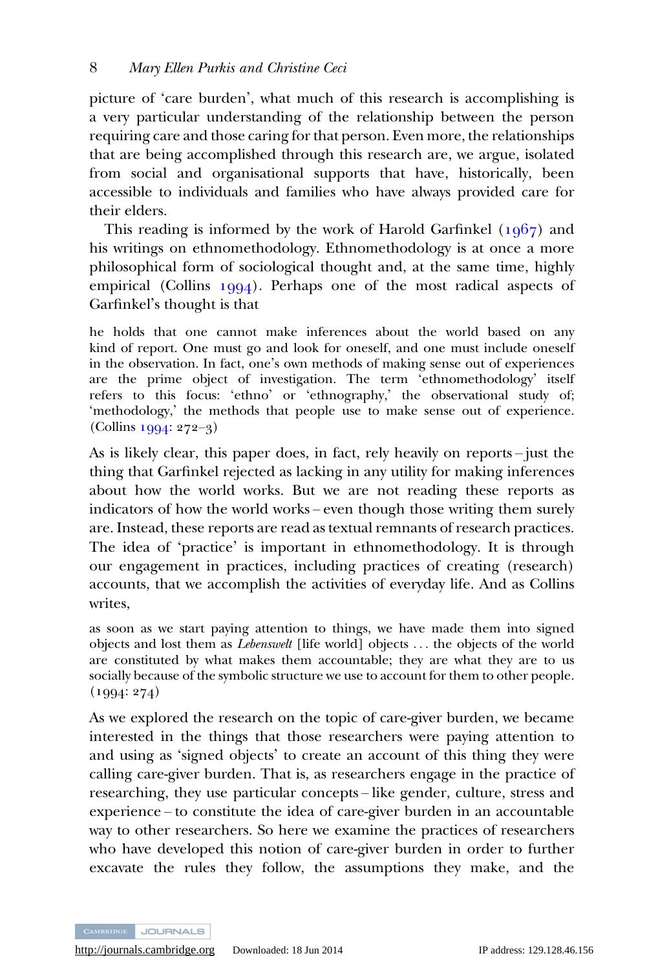picture of 'care burden', what much of this research is accomplishing is a very particular understanding of the relationship between the person requiring care and those caring for that person. Even more, the relationships that are being accomplished through this research are, we argue, isolated from social and organisational supports that have, historically, been accessible to individuals and families who have always provided care for their elders.

This reading is informed by the work of Harold Garfinkel  $(1967)$  and his writings on ethnomethodology. Ethnomethodology is at once a more philosophical form of sociological thought and, at the same time, highly empirical (Collins  $1994$ ). Perhaps one of the most radical aspects of Garfinkel's thought is that

he holds that one cannot make inferences about the world based on any kind of report. One must go and look for oneself, and one must include oneself in the observation. In fact, one's own methods of making sense out of experiences are the prime object of investigation. The term 'ethnomethodology' itself refers to this focus: 'ethno' or 'ethnography,' the observational study of; 'methodology,' the methods that people use to make sense out of experience.  $(Collins 1994: 272-3)$ 

As is likely clear, this paper does, in fact, rely heavily on reports – just the thing that Garfinkel rejected as lacking in any utility for making inferences about how the world works. But we are not reading these reports as indicators of how the world works – even though those writing them surely are. Instead, these reports are read as textual remnants of research practices. The idea of 'practice' is important in ethnomethodology. It is through our engagement in practices, including practices of creating (research) accounts, that we accomplish the activities of everyday life. And as Collins writes,

as soon as we start paying attention to things, we have made them into signed objects and lost them as Lebenswelt [life world] objects ... the objects of the world are constituted by what makes them accountable; they are what they are to us socially because of the symbolic structure we use to account for them to other people.  $(1994: 274)$ 

As we explored the research on the topic of care-giver burden, we became interested in the things that those researchers were paying attention to and using as 'signed objects' to create an account of this thing they were calling care-giver burden. That is, as researchers engage in the practice of researching, they use particular concepts – like gender, culture, stress and experience – to constitute the idea of care-giver burden in an accountable way to other researchers. So here we examine the practices of researchers who have developed this notion of care-giver burden in order to further excavate the rules they follow, the assumptions they make, and the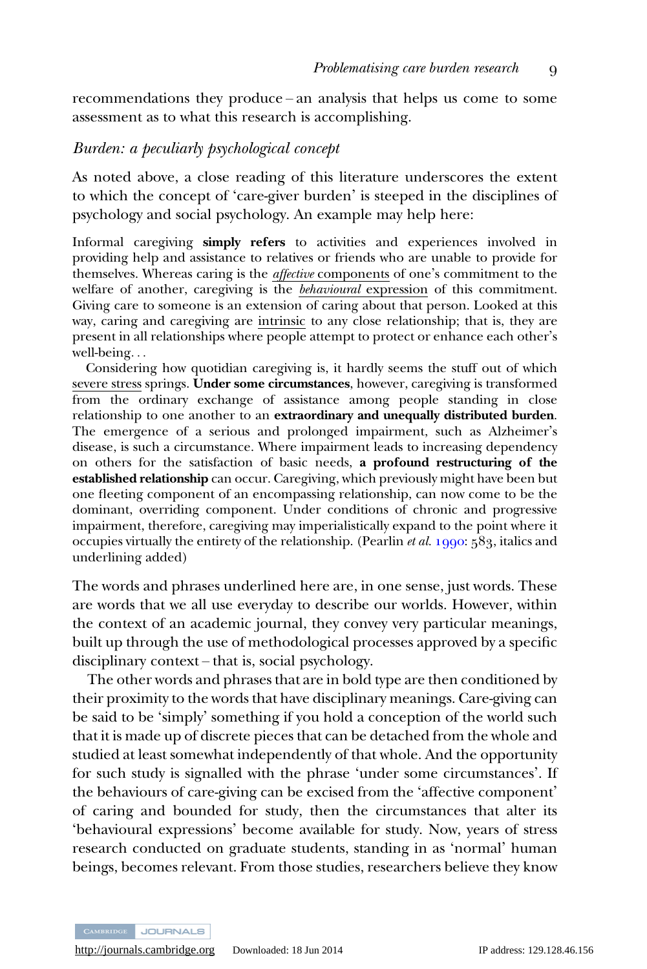recommendations they produce – an analysis that helps us come to some assessment as to what this research is accomplishing.

#### Burden: a peculiarly psychological concept

As noted above, a close reading of this literature underscores the extent to which the concept of 'care-giver burden' is steeped in the disciplines of psychology and social psychology. An example may help here:

Informal caregiving simply refers to activities and experiences involved in providing help and assistance to relatives or friends who are unable to provide for themselves. Whereas caring is the affective components of one's commitment to the welfare of another, caregiving is the *behavioural* expression of this commitment. Giving care to someone is an extension of caring about that person. Looked at this way, caring and caregiving are intrinsic to any close relationship; that is, they are present in all relationships where people attempt to protect or enhance each other's well-being...

Considering how quotidian caregiving is, it hardly seems the stuff out of which severe stress springs. Under some circumstances, however, caregiving is transformed from the ordinary exchange of assistance among people standing in close relationship to one another to an extraordinary and unequally distributed burden. The emergence of a serious and prolonged impairment, such as Alzheimer's disease, is such a circumstance. Where impairment leads to increasing dependency on others for the satisfaction of basic needs, a profound restructuring of the established relationship can occur. Caregiving, which previously might have been but one fleeting component of an encompassing relationship, can now come to be the dominant, overriding component. Under conditions of chronic and progressive impairment, therefore, caregiving may imperialistically expand to the point where it occupies virtually the entirety of the relationship. (Pearlin *et al.* 1990:  $589$ , italics and underlining added)

The words and phrases underlined here are, in one sense, just words. These are words that we all use everyday to describe our worlds. However, within the context of an academic journal, they convey very particular meanings, built up through the use of methodological processes approved by a specific disciplinary context – that is, social psychology.

The other words and phrases that are in bold type are then conditioned by their proximity to the words that have disciplinary meanings. Care-giving can be said to be 'simply' something if you hold a conception of the world such that it is made up of discrete pieces that can be detached from the whole and studied at least somewhat independently of that whole. And the opportunity for such study is signalled with the phrase 'under some circumstances'. If the behaviours of care-giving can be excised from the 'affective component' of caring and bounded for study, then the circumstances that alter its 'behavioural expressions' become available for study. Now, years of stress research conducted on graduate students, standing in as 'normal' human beings, becomes relevant. From those studies, researchers believe they know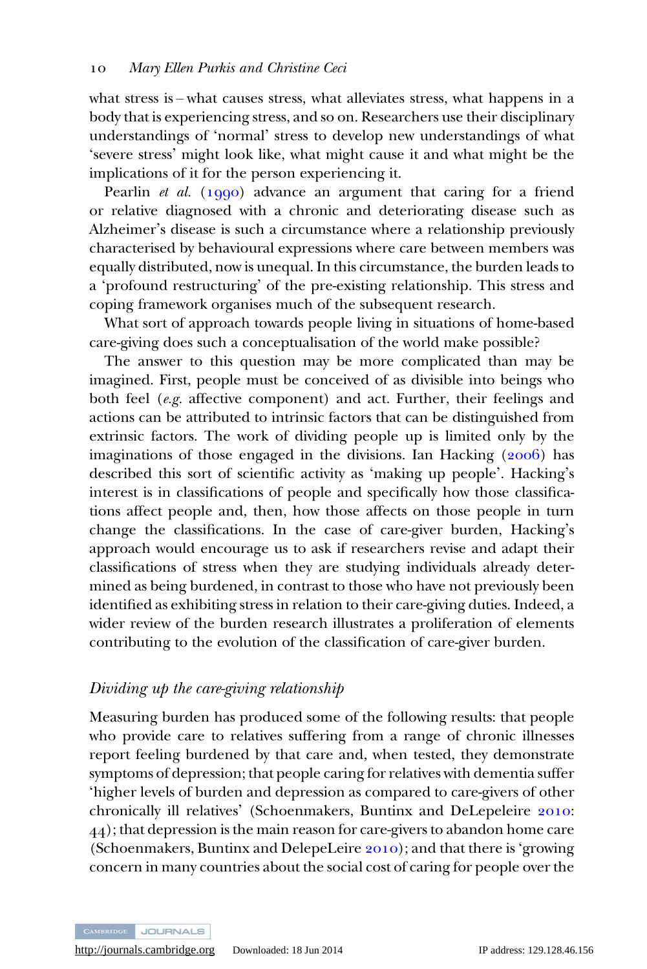what stress is – what causes stress, what alleviates stress, what happens in a body that is experiencing stress, and so on. Researchers use their disciplinary understandings of 'normal' stress to develop new understandings of what 'severe stress' might look like, what might cause it and what might be the implications of it for the person experiencing it.

Pearlin *et al.* ( $1990$ ) advance an argument that caring for a friend or relative diagnosed with a chronic and deteriorating disease such as Alzheimer's disease is such a circumstance where a relationship previously characterised by behavioural expressions where care between members was equally distributed, now is unequal. In this circumstance, the burden leads to a 'profound restructuring' of the pre-existing relationship. This stress and coping framework organises much of the subsequent research.

What sort of approach towards people living in situations of home-based care-giving does such a conceptualisation of the world make possible?

The answer to this question may be more complicated than may be imagined. First, people must be conceived of as divisible into beings who both feel (e.g. affective component) and act. Further, their feelings and actions can be attributed to intrinsic factors that can be distinguished from extrinsic factors. The work of dividing people up is limited only by the imaginations of those engaged in the divisions. Ian Hacking  $(2006)$  has described this sort of scientific activity as 'making up people'. Hacking's interest is in classifications of people and specifically how those classifications affect people and, then, how those affects on those people in turn change the classifications. In the case of care-giver burden, Hacking's approach would encourage us to ask if researchers revise and adapt their classifications of stress when they are studying individuals already determined as being burdened, in contrast to those who have not previously been identified as exhibiting stress in relation to their care-giving duties. Indeed, a wider review of the burden research illustrates a proliferation of elements contributing to the evolution of the classification of care-giver burden.

## Dividing up the care-giving relationship

Measuring burden has produced some of the following results: that people who provide care to relatives suffering from a range of chronic illnesses report feeling burdened by that care and, when tested, they demonstrate symptoms of depression; that people caring for relatives with dementia suffer 'higher levels of burden and depression as compared to care-givers of other chronically ill relatives' (Schoenmakers, Buntinx and DeLepeleire 2010: ); that depression is the main reason for care-givers to abandon home care (Schoenmakers, Buntinx and DelepeLeire  $2010$ ); and that there is 'growing concern in many countries about the social cost of caring for people over the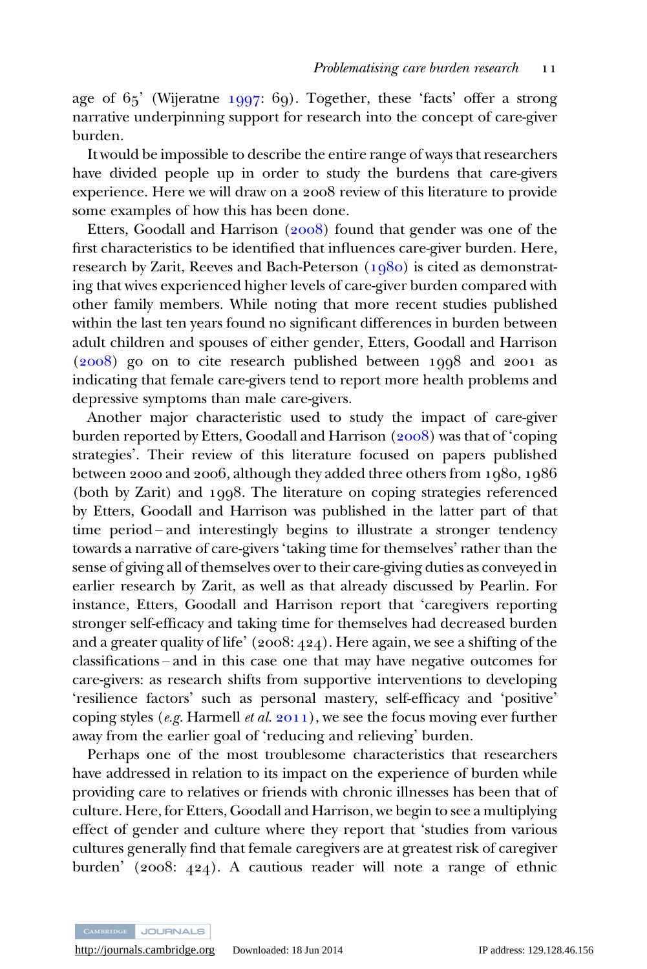age of  $65'$  (Wijeratne  $1997: 69$ ). Together, these 'facts' offer a strong narrative underpinning support for research into the concept of care-giver burden.

It would be impossible to describe the entire range of ways that researchers have divided people up in order to study the burdens that care-givers experience. Here we will draw on a 2008 review of this literature to provide some examples of how this has been done.

Etters, Goodall and Harrison  $(2008)$  found that gender was one of the first characteristics to be identified that influences care-giver burden. Here, research by Zarit, Reeves and Bach-Peterson  $(1080)$  is cited as demonstrating that wives experienced higher levels of care-giver burden compared with other family members. While noting that more recent studies published within the last ten years found no significant differences in burden between adult children and spouses of either gender, Etters, Goodall and Harrison  $(2008)$  go on to cite research published between  $1008$  and  $2001$  as indicating that female care-givers tend to report more health problems and depressive symptoms than male care-givers.

Another major characteristic used to study the impact of care-giver burden reported by Etters, Goodall and Harrison  $(2008)$  was that of 'coping strategies'. Their review of this literature focused on papers published between 2000 and 2006, although they added three others from  $1080, 1086$ (both by Zarit) and 1998. The literature on coping strategies referenced by Etters, Goodall and Harrison was published in the latter part of that time period – and interestingly begins to illustrate a stronger tendency towards a narrative of care-givers 'taking time for themselves' rather than the sense of giving all of themselves over to their care-giving duties as conveyed in earlier research by Zarit, as well as that already discussed by Pearlin. For instance, Etters, Goodall and Harrison report that 'caregivers reporting stronger self-efficacy and taking time for themselves had decreased burden and a greater quality of life'  $(2008:424)$ . Here again, we see a shifting of the classifications – and in this case one that may have negative outcomes for care-givers: as research shifts from supportive interventions to developing 'resilience factors' such as personal mastery, self-efficacy and 'positive' coping styles (e.g. Harmell et al.  $2011$ ), we see the focus moving ever further away from the earlier goal of 'reducing and relieving' burden.

Perhaps one of the most troublesome characteristics that researchers have addressed in relation to its impact on the experience of burden while providing care to relatives or friends with chronic illnesses has been that of culture. Here, for Etters, Goodall and Harrison, we begin to see a multiplying effect of gender and culture where they report that 'studies from various cultures generally find that female caregivers are at greatest risk of caregiver burden' (2008: 424). A cautious reader will note a range of ethnic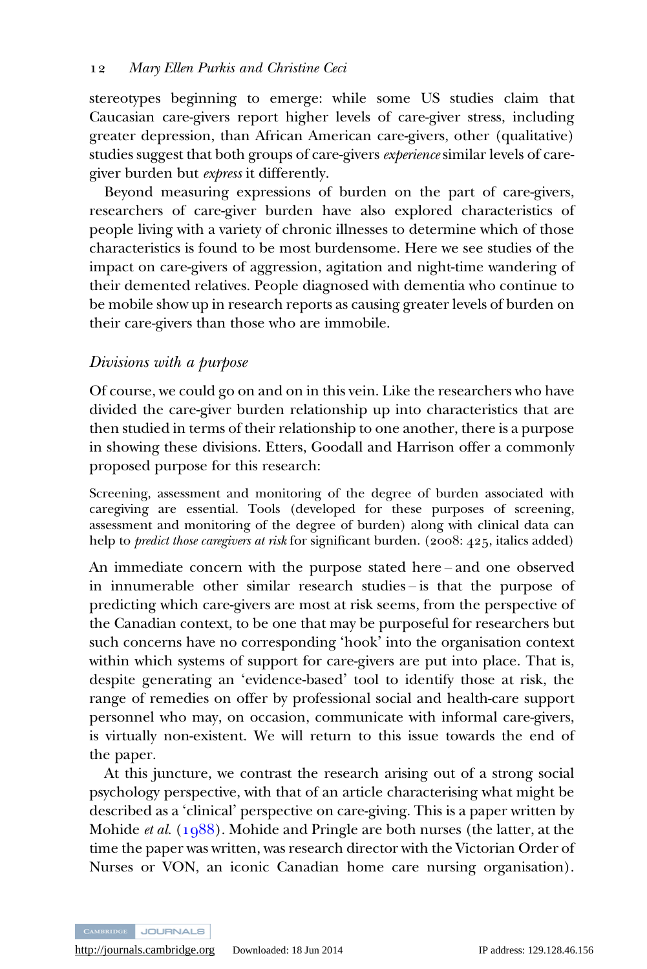stereotypes beginning to emerge: while some US studies claim that Caucasian care-givers report higher levels of care-giver stress, including greater depression, than African American care-givers, other (qualitative) studies suggest that both groups of care-givers experience similar levels of caregiver burden but express it differently.

Beyond measuring expressions of burden on the part of care-givers, researchers of care-giver burden have also explored characteristics of people living with a variety of chronic illnesses to determine which of those characteristics is found to be most burdensome. Here we see studies of the impact on care-givers of aggression, agitation and night-time wandering of their demented relatives. People diagnosed with dementia who continue to be mobile show up in research reports as causing greater levels of burden on their care-givers than those who are immobile.

## Divisions with a purpose

Of course, we could go on and on in this vein. Like the researchers who have divided the care-giver burden relationship up into characteristics that are then studied in terms of their relationship to one another, there is a purpose in showing these divisions. Etters, Goodall and Harrison offer a commonly proposed purpose for this research:

Screening, assessment and monitoring of the degree of burden associated with caregiving are essential. Tools (developed for these purposes of screening, assessment and monitoring of the degree of burden) along with clinical data can help to *predict those caregivers at risk* for significant burden. ( $2008:425$ , italics added)

An immediate concern with the purpose stated here – and one observed in innumerable other similar research studies – is that the purpose of predicting which care-givers are most at risk seems, from the perspective of the Canadian context, to be one that may be purposeful for researchers but such concerns have no corresponding 'hook' into the organisation context within which systems of support for care-givers are put into place. That is, despite generating an 'evidence-based' tool to identify those at risk, the range of remedies on offer by professional social and health-care support personnel who may, on occasion, communicate with informal care-givers, is virtually non-existent. We will return to this issue towards the end of the paper.

At this juncture, we contrast the research arising out of a strong social psychology perspective, with that of an article characterising what might be described as a 'clinical' perspective on care-giving. This is a paper written by Mohide *et al.* ( $1988$ ). Mohide and Pringle are both nurses (the latter, at the time the paper was written, was research director with the Victorian Order of Nurses or VON, an iconic Canadian home care nursing organisation).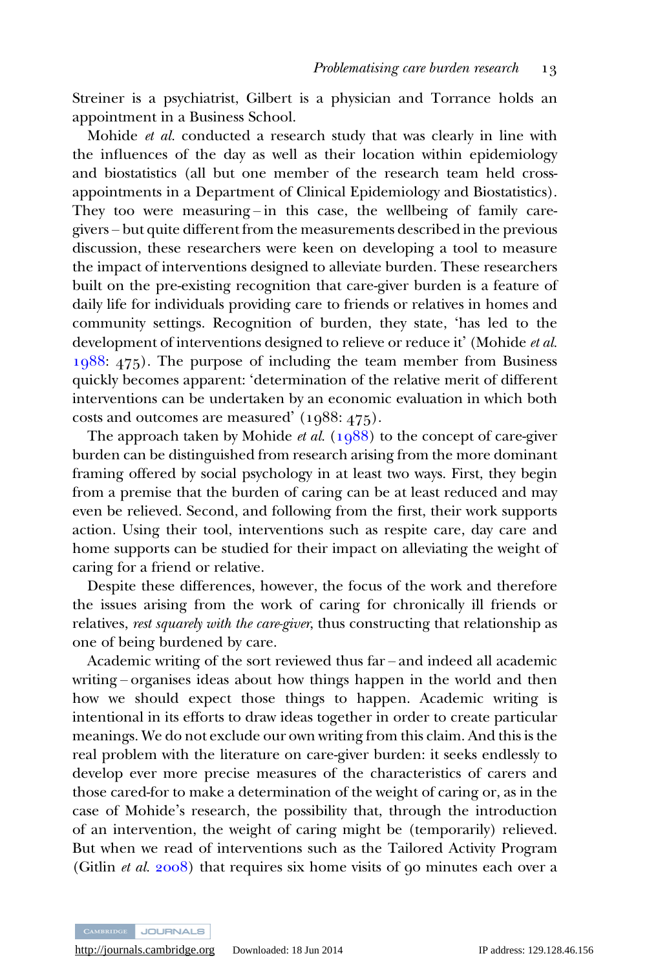Streiner is a psychiatrist, Gilbert is a physician and Torrance holds an appointment in a Business School.

Mohide et al. conducted a research study that was clearly in line with the influences of the day as well as their location within epidemiology and biostatistics (all but one member of the research team held crossappointments in a Department of Clinical Epidemiology and Biostatistics). They too were measuring – in this case, the wellbeing of family caregivers – but quite different from the measurements described in the previous discussion, these researchers were keen on developing a tool to measure the impact of interventions designed to alleviate burden. These researchers built on the pre-existing recognition that care-giver burden is a feature of daily life for individuals providing care to friends or relatives in homes and community settings. Recognition of burden, they state, 'has led to the development of interventions designed to relieve or reduce it' (Mohide et al.  $1988: 475$ ). The purpose of including the team member from Business quickly becomes apparent: 'determination of the relative merit of different interventions can be undertaken by an economic evaluation in which both costs and outcomes are measured'  $(1988:475)$ .

The approach taken by Mohide *et al.* ( $1988$ ) to the concept of care-giver burden can be distinguished from research arising from the more dominant framing offered by social psychology in at least two ways. First, they begin from a premise that the burden of caring can be at least reduced and may even be relieved. Second, and following from the first, their work supports action. Using their tool, interventions such as respite care, day care and home supports can be studied for their impact on alleviating the weight of caring for a friend or relative.

Despite these differences, however, the focus of the work and therefore the issues arising from the work of caring for chronically ill friends or relatives, rest squarely with the care-giver, thus constructing that relationship as one of being burdened by care.

Academic writing of the sort reviewed thus far – and indeed all academic writing – organises ideas about how things happen in the world and then how we should expect those things to happen. Academic writing is intentional in its efforts to draw ideas together in order to create particular meanings. We do not exclude our own writing from this claim. And this is the real problem with the literature on care-giver burden: it seeks endlessly to develop ever more precise measures of the characteristics of carers and those cared-for to make a determination of the weight of caring or, as in the case of Mohide's research, the possibility that, through the introduction of an intervention, the weight of caring might be (temporarily) relieved. But when we read of interventions such as the Tailored Activity Program (Gitlin *et al.*  $2008$ ) that requires six home visits of  $90$  minutes each over a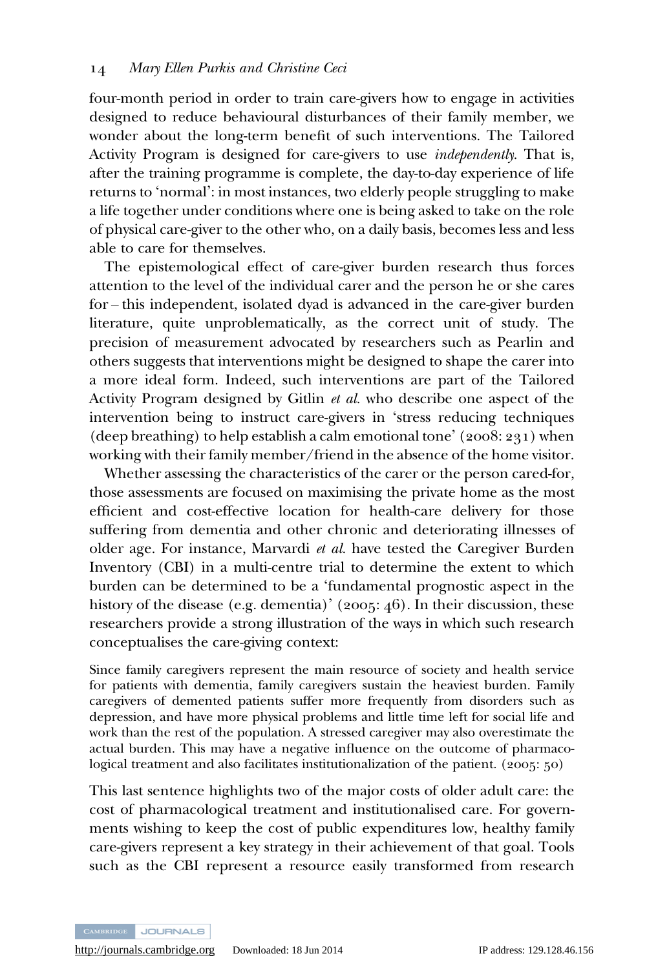four-month period in order to train care-givers how to engage in activities designed to reduce behavioural disturbances of their family member, we wonder about the long-term benefit of such interventions. The Tailored Activity Program is designed for care-givers to use independently. That is, after the training programme is complete, the day-to-day experience of life returns to 'normal': in most instances, two elderly people struggling to make a life together under conditions where one is being asked to take on the role of physical care-giver to the other who, on a daily basis, becomes less and less able to care for themselves.

The epistemological effect of care-giver burden research thus forces attention to the level of the individual carer and the person he or she cares for – this independent, isolated dyad is advanced in the care-giver burden literature, quite unproblematically, as the correct unit of study. The precision of measurement advocated by researchers such as Pearlin and others suggests that interventions might be designed to shape the carer into a more ideal form. Indeed, such interventions are part of the Tailored Activity Program designed by Gitlin et al. who describe one aspect of the intervention being to instruct care-givers in 'stress reducing techniques (deep breathing) to help establish a calm emotional tone' ( $2008:231$ ) when working with their family member/friend in the absence of the home visitor.

Whether assessing the characteristics of the carer or the person cared-for, those assessments are focused on maximising the private home as the most efficient and cost-effective location for health-care delivery for those suffering from dementia and other chronic and deteriorating illnesses of older age. For instance, Marvardi et al. have tested the Caregiver Burden Inventory (CBI) in a multi-centre trial to determine the extent to which burden can be determined to be a 'fundamental prognostic aspect in the history of the disease (e.g. dementia)' (2005: 46). In their discussion, these researchers provide a strong illustration of the ways in which such research conceptualises the care-giving context:

Since family caregivers represent the main resource of society and health service for patients with dementia, family caregivers sustain the heaviest burden. Family caregivers of demented patients suffer more frequently from disorders such as depression, and have more physical problems and little time left for social life and work than the rest of the population. A stressed caregiver may also overestimate the actual burden. This may have a negative influence on the outcome of pharmacological treatment and also facilitates institutionalization of the patient.  $(2005:50)$ 

This last sentence highlights two of the major costs of older adult care: the cost of pharmacological treatment and institutionalised care. For governments wishing to keep the cost of public expenditures low, healthy family care-givers represent a key strategy in their achievement of that goal. Tools such as the CBI represent a resource easily transformed from research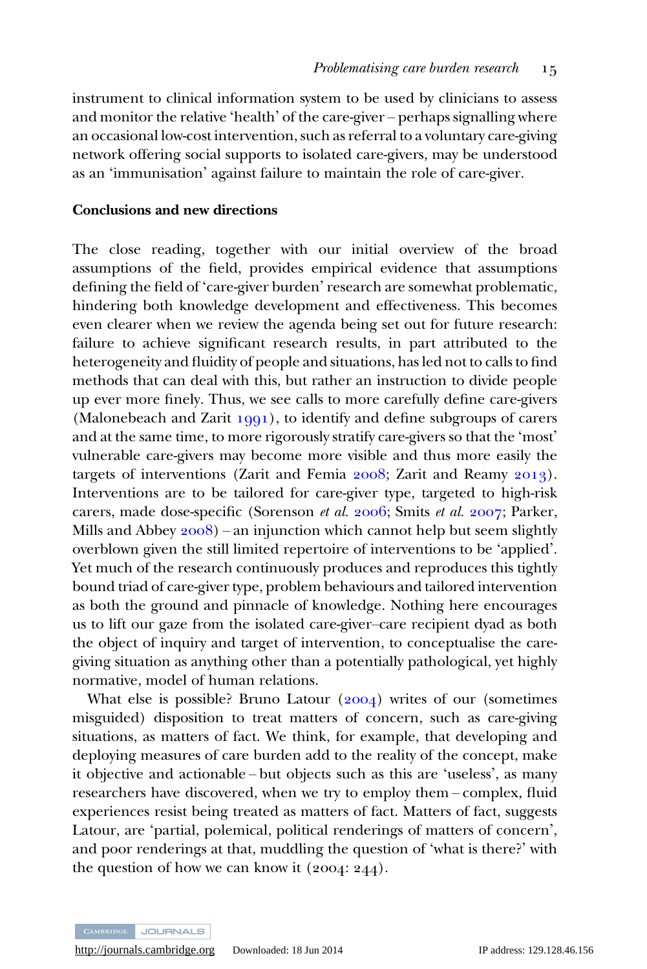instrument to clinical information system to be used by clinicians to assess and monitor the relative 'health' of the care-giver – perhaps signalling where an occasional low-cost intervention, such as referral to a voluntary care-giving network offering social supports to isolated care-givers, may be understood as an 'immunisation' against failure to maintain the role of care-giver.

#### Conclusions and new directions

The close reading, together with our initial overview of the broad assumptions of the field, provides empirical evidence that assumptions defining the field of 'care-giver burden' research are somewhat problematic, hindering both knowledge development and effectiveness. This becomes even clearer when we review the agenda being set out for future research: failure to achieve significant research results, in part attributed to the heterogeneity and fluidity of people and situations, has led not to calls to find methods that can deal with this, but rather an instruction to divide people up ever more finely. Thus, we see calls to more carefully define care-givers (Malonebeach and Zarit  $1991$ ), to identify and define subgroups of carers and at the same time, to more rigorously stratify care-givers so that the 'most' vulnerable care-givers may become more visible and thus more easily the targets of interventions (Zarit and Femia  $2008$ ; Zarit and Reamy  $2013$ ). Interventions are to be tailored for care-giver type, targeted to high-risk carers, made dose-specific (Sorenson et al.  $2006$ ; Smits et al.  $2007$ ; Parker, Mills and Abbey  $2008$ ) – an injunction which cannot help but seem slightly overblown given the still limited repertoire of interventions to be 'applied'. Yet much of the research continuously produces and reproduces this tightly bound triad of care-giver type, problem behaviours and tailored intervention as both the ground and pinnacle of knowledge. Nothing here encourages us to lift our gaze from the isolated care-giver–care recipient dyad as both the object of inquiry and target of intervention, to conceptualise the caregiving situation as anything other than a potentially pathological, yet highly normative, model of human relations.

What else is possible? Bruno Latour  $(2004)$  writes of our (sometimes misguided) disposition to treat matters of concern, such as care-giving situations, as matters of fact. We think, for example, that developing and deploying measures of care burden add to the reality of the concept, make it objective and actionable – but objects such as this are 'useless', as many researchers have discovered, when we try to employ them – complex, fluid experiences resist being treated as matters of fact. Matters of fact, suggests Latour, are 'partial, polemical, political renderings of matters of concern', and poor renderings at that, muddling the question of 'what is there?' with the question of how we can know it  $(2004: 244)$ .

CAMBRIDGE JOURNALS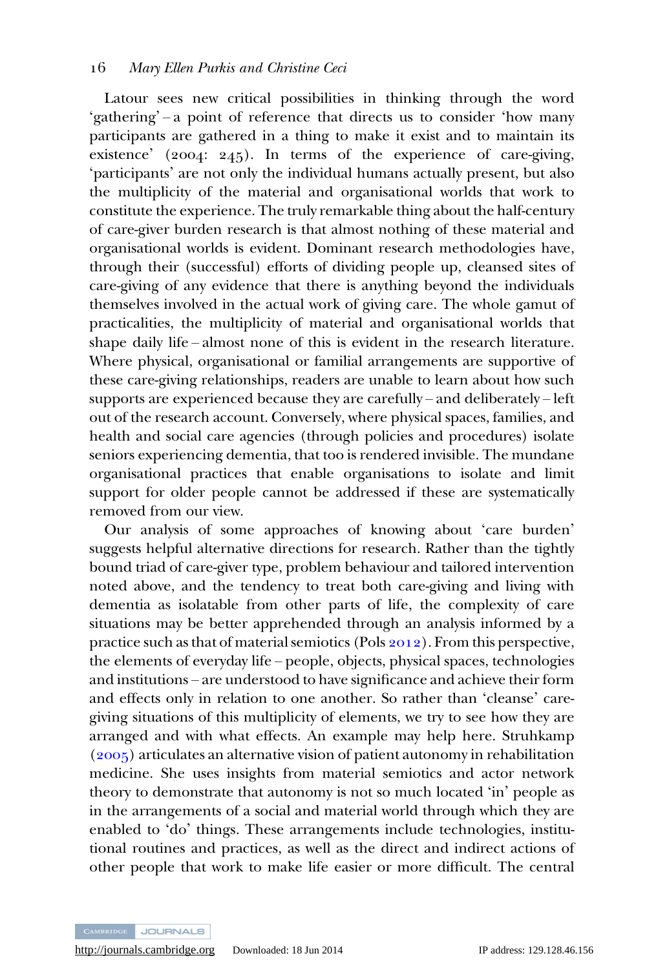Latour sees new critical possibilities in thinking through the word 'gathering' – a point of reference that directs us to consider 'how many participants are gathered in a thing to make it exist and to maintain its existence' ( $2004$ :  $245$ ). In terms of the experience of care-giving, 'participants' are not only the individual humans actually present, but also the multiplicity of the material and organisational worlds that work to constitute the experience. The truly remarkable thing about the half-century of care-giver burden research is that almost nothing of these material and organisational worlds is evident. Dominant research methodologies have, through their (successful) efforts of dividing people up, cleansed sites of care-giving of any evidence that there is anything beyond the individuals themselves involved in the actual work of giving care. The whole gamut of practicalities, the multiplicity of material and organisational worlds that shape daily life – almost none of this is evident in the research literature. Where physical, organisational or familial arrangements are supportive of these care-giving relationships, readers are unable to learn about how such supports are experienced because they are carefully – and deliberately – left out of the research account. Conversely, where physical spaces, families, and health and social care agencies (through policies and procedures) isolate seniors experiencing dementia, that too is rendered invisible. The mundane organisational practices that enable organisations to isolate and limit support for older people cannot be addressed if these are systematically removed from our view.

Our analysis of some approaches of knowing about 'care burden' suggests helpful alternative directions for research. Rather than the tightly bound triad of care-giver type, problem behaviour and tailored intervention noted above, and the tendency to treat both care-giving and living with dementia as isolatable from other parts of life, the complexity of care situations may be better apprehended through an analysis informed by a practice such as that of material semiotics (Pols  $2012$ ). From this perspective, the elements of everyday life – people, objects, physical spaces, technologies and institutions – are understood to have significance and achieve their form and effects only in relation to one another. So rather than 'cleanse' caregiving situations of this multiplicity of elements, we try to see how they are arranged and with what effects. An example may help here. Struhkamp  $(2005)$  articulates an alternative vision of patient autonomy in rehabilitation medicine. She uses insights from material semiotics and actor network theory to demonstrate that autonomy is not so much located 'in' people as in the arrangements of a social and material world through which they are enabled to 'do' things. These arrangements include technologies, institutional routines and practices, as well as the direct and indirect actions of other people that work to make life easier or more difficult. The central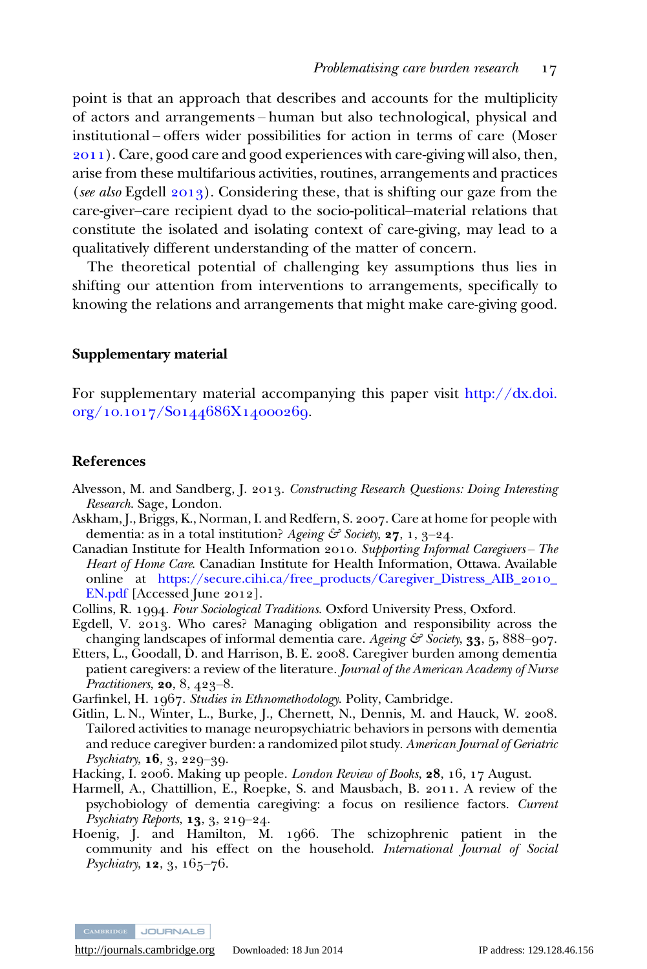<span id="page-17-0"></span>point is that an approach that describes and accounts for the multiplicity of actors and arrangements – human but also technological, physical and institutional – offers wider possibilities for action in terms of care (Moser ). Care, good care and good experiences with care-giving will also, then, arise from these multifarious activities, routines, arrangements and practices (see also Egdell  $2013$ ). Considering these, that is shifting our gaze from the care-giver–care recipient dyad to the socio-political–material relations that constitute the isolated and isolating context of care-giving, may lead to a qualitatively different understanding of the matter of concern.

The theoretical potential of challenging key assumptions thus lies in shifting our attention from interventions to arrangements, specifically to knowing the relations and arrangements that might make care-giving good.

#### Supplementary material

For supplementary material accompanying this paper visit [http://dx.doi.](http://dx.doi.org/10.1017/S0144686X14000269) org/10.1017/S0144686X14000269.

#### References

- Alvesson, M. and Sandberg, J. 2013. Constructing Research Questions: Doing Interesting Research. Sage, London.
- Askham, J., Briggs, K., Norman, I. and Redfern, S. 2007. Care at home for people with dementia: as in a total institution? Ageing  $\mathcal{F}$  Society, 27, 1, 3-24.
- Canadian Institute for Health Information . Supporting Informal Caregivers *–* The Heart of Home Care. Canadian Institute for Health Information, Ottawa. Available online at [https://secure.cihi.ca/free\\_products/Caregiver\\_Distress\\_AIB\\_](https://secure.cihi.ca/free_products/Caregiver_Distress_AIB_2010_EN.pdf)2010\_  $EN.pdf$  [Accessed June 2012].
- Collins, R. 1994. Four Sociological Traditions. Oxford University Press, Oxford.
- Egdell, V. 2013. Who cares? Managing obligation and responsibility across the changing landscapes of informal dementia care. Ageing  $\mathcal{F}$  Society, **33**, 5, 888–907.
- Etters, L., Goodall, D. and Harrison, B. E. 2008. Caregiver burden among dementia patient caregivers: a review of the literature. Journal of the American Academy of Nurse *Practitioners*, **20**,  $8, 423 - 8$ .
- Garfinkel, H. 1967. Studies in Ethnomethodology. Polity, Cambridge.
- Gitlin, L. N., Winter, L., Burke, J., Chernett, N., Dennis, M. and Hauck, W. 2008. Tailored activities to manage neuropsychiatric behaviors in persons with dementia and reduce caregiver burden: a randomized pilot study. American Journal of Geriatric  $Ps$ ychiatry,  $16, 3, 229 - 39$ .
- Hacking, I. 2006. Making up people. London Review of Books, 28, 16, 17 August.
- Harmell, A., Chattillion, E., Roepke, S. and Mausbach, B. 2011. A review of the psychobiology of dementia caregiving: a focus on resilience factors. Current Psychiatry Reports,  $13, 3, 210-24$ .
- Hoenig, J. and Hamilton, M. 1966. The schizophrenic patient in the community and his effect on the household. International Journal of Social *Psychiatry*,  $12, 3, 165 - 76$ .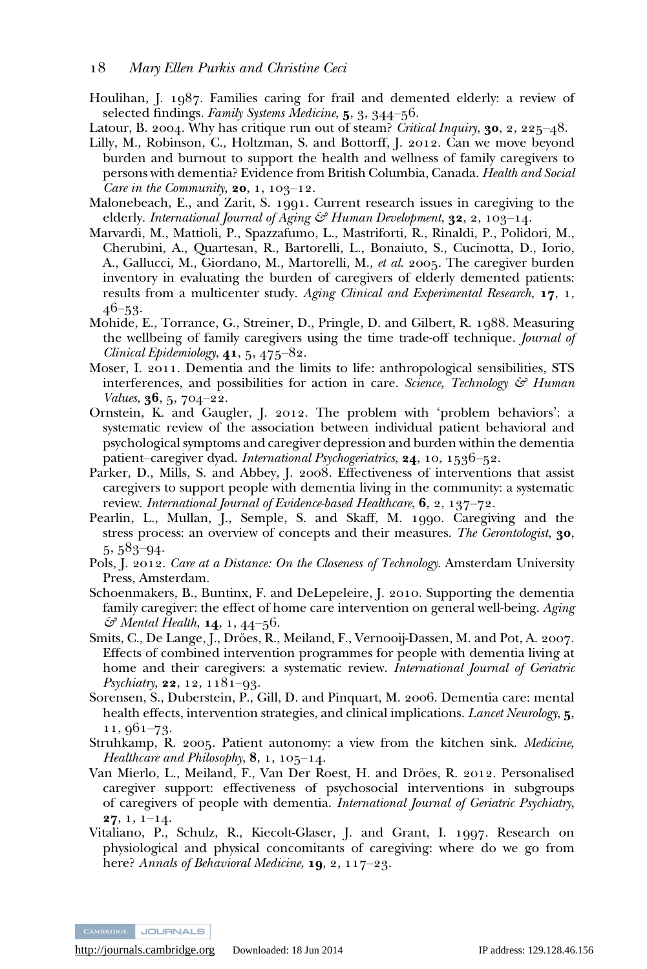#### <span id="page-18-0"></span>Mary Ellen Purkis and Christine Ceci

- Houlihan, J. 1987. Families caring for frail and demented elderly: a review of selected findings. Family Systems Medicine,  $5, 3, 344-56$ .
- Latour, B. 2004. Why has critique run out of steam? Critical Inquiry, **30**, 2, 225–48.
- Lilly, M., Robinson, C., Holtzman, S. and Bottorff, J. 2012. Can we move beyond burden and burnout to support the health and wellness of family caregivers to persons with dementia? Evidence from British Columbia, Canada. Health and Social Care in the Community,  $20, 1, 103-12$ .
- Malonebeach, E., and Zarit, S. 1991. Current research issues in caregiving to the elderly. International Journal of Aging  $\mathcal{G}$  Human Development, **32**, 2, 103–14.
- Marvardi, M., Mattioli, P., Spazzafumo, L., Mastriforti, R., Rinaldi, P., Polidori, M., Cherubini, A., Quartesan, R., Bartorelli, L., Bonaiuto, S., Cucinotta, D., Iorio, A., Gallucci, M., Giordano, M., Martorelli, M., et al. 2005. The caregiver burden inventory in evaluating the burden of caregivers of elderly demented patients: results from a multicenter study. Aging Clinical and Experimental Research,  $17, 1,$ 46–53.
- Mohide, E., Torrance, G., Streiner, D., Pringle, D. and Gilbert, R. 1988. Measuring the wellbeing of family caregivers using the time trade-off technique. Journal of Clinical Epidemiology,  $41, 5, 475-82$ .
- Moser, I. 2011. Dementia and the limits to life: anthropological sensibilities, STS interferences, and possibilities for action in care. Science, Technology  $\mathcal{F}$  Human Values,  $36, 5, 704 - 22$ .
- Ornstein, K. and Gaugler, J. 2012. The problem with 'problem behaviors': a systematic review of the association between individual patient behavioral and psychological symptoms and caregiver depression and burden within the dementia patient–caregiver dyad. International Psychogeriatrics, 24, 10, 1536–52.
- Parker, D., Mills, S. and Abbey, J. 2008. Effectiveness of interventions that assist caregivers to support people with dementia living in the community: a systematic review. International Journal of Evidence-based Healthcare,  $6, 2, 137-72$ .
- Pearlin, L., Mullan, J., Semple, S. and Skaff, M. 1990. Caregiving and the stress process: an overview of concepts and their measures. The Gerontologist, 30,  $5,583-94.$
- Pols, J. 2012. Care at a Distance: On the Closeness of Technology. Amsterdam University Press, Amsterdam.
- Schoenmakers, B., Buntinx, F. and DeLepeleire, J. 2010. Supporting the dementia family caregiver: the effect of home care intervention on general well-being. Aging  $\mathcal{C}$  Mental Health, **14**, **1**, 44–56.
- Smits, C., De Lange, J., Dröes, R., Meiland, F., Vernooij-Dassen, M. and Pot, A. 2007. Effects of combined intervention programmes for people with dementia living at home and their caregivers: a systematic review. *International Journal of Geriatric Psychiatry*, **22**, 12, 1181–93.
- Sorensen, S., Duberstein, P., Gill, D. and Pinquart, M. 2006. Dementia care: mental health effects, intervention strategies, and clinical implications. Lancet Neurology, 5,  $11,961-73.$
- Struhkamp, R. 2005. Patient autonomy: a view from the kitchen sink. *Medicine*, *Healthcare and Philosophy*,  $\mathbf{8}, 1, 105-14$ .
- Van Mierlo, L., Meiland, F., Van Der Roest, H. and Dröes, R. 2012. Personalised caregiver support: effectiveness of psychosocial interventions in subgroups of caregivers of people with dementia. International Journal of Geriatric Psychiatry,  $27, 1, 1-14.$
- Vitaliano, P., Schulz, R., Kiecolt-Glaser, J. and Grant, I. 1997. Research on physiological and physical concomitants of caregiving: where do we go from here? Annals of Behavioral Medicine,  $19, 2, 117-23$ .